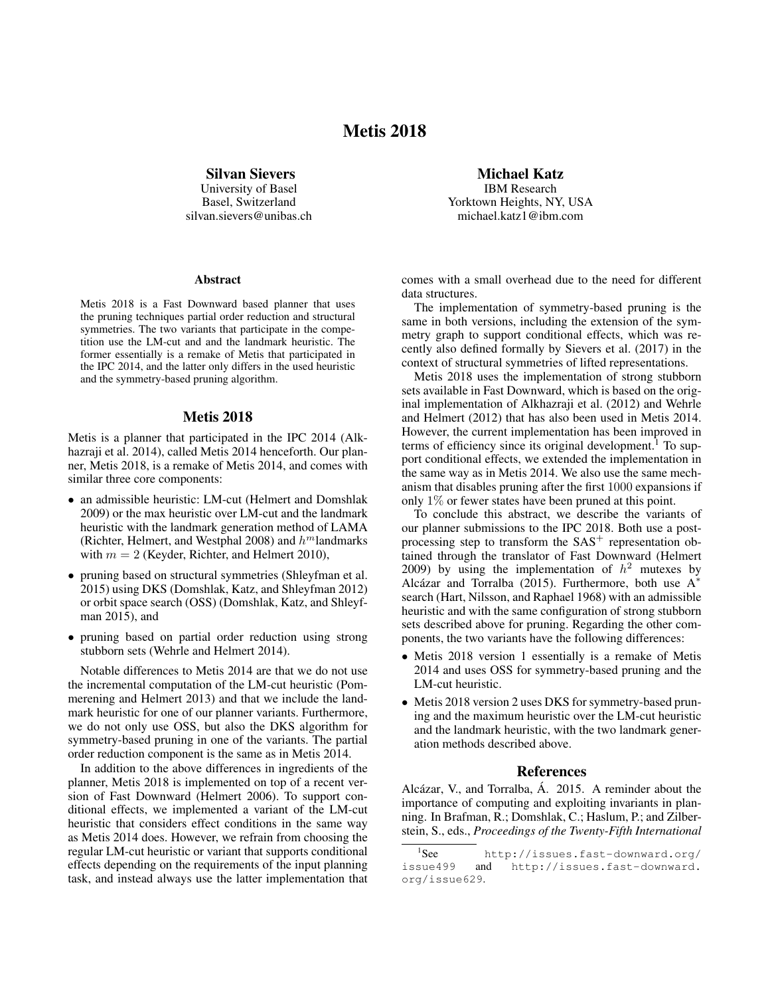## Metis 2018

Silvan Sievers

University of Basel Basel, Switzerland silvan.sievers@unibas.ch

## Abstract

Metis 2018 is a Fast Downward based planner that uses the pruning techniques partial order reduction and structural symmetries. The two variants that participate in the competition use the LM-cut and and the landmark heuristic. The former essentially is a remake of Metis that participated in the IPC 2014, and the latter only differs in the used heuristic and the symmetry-based pruning algorithm.

## Metis 2018

Metis is a planner that participated in the IPC 2014 (Alkhazraji et al. 2014), called Metis 2014 henceforth. Our planner, Metis 2018, is a remake of Metis 2014, and comes with similar three core components:

- an admissible heuristic: LM-cut (Helmert and Domshlak 2009) or the max heuristic over LM-cut and the landmark heuristic with the landmark generation method of LAMA (Richter, Helmert, and Westphal 2008) and  $h<sup>m</sup>$ landmarks with  $m = 2$  (Keyder, Richter, and Helmert 2010),
- pruning based on structural symmetries (Shleyfman et al. 2015) using DKS (Domshlak, Katz, and Shleyfman 2012) or orbit space search (OSS) (Domshlak, Katz, and Shleyfman 2015), and
- pruning based on partial order reduction using strong stubborn sets (Wehrle and Helmert 2014).

Notable differences to Metis 2014 are that we do not use the incremental computation of the LM-cut heuristic (Pommerening and Helmert 2013) and that we include the landmark heuristic for one of our planner variants. Furthermore, we do not only use OSS, but also the DKS algorithm for symmetry-based pruning in one of the variants. The partial order reduction component is the same as in Metis 2014.

In addition to the above differences in ingredients of the planner, Metis 2018 is implemented on top of a recent version of Fast Downward (Helmert 2006). To support conditional effects, we implemented a variant of the LM-cut heuristic that considers effect conditions in the same way as Metis 2014 does. However, we refrain from choosing the regular LM-cut heuristic or variant that supports conditional effects depending on the requirements of the input planning task, and instead always use the latter implementation that

Michael Katz

IBM Research Yorktown Heights, NY, USA michael.katz1@ibm.com

comes with a small overhead due to the need for different data structures.

The implementation of symmetry-based pruning is the same in both versions, including the extension of the symmetry graph to support conditional effects, which was recently also defined formally by Sievers et al. (2017) in the context of structural symmetries of lifted representations.

Metis 2018 uses the implementation of strong stubborn sets available in Fast Downward, which is based on the original implementation of Alkhazraji et al. (2012) and Wehrle and Helmert (2012) that has also been used in Metis 2014. However, the current implementation has been improved in terms of efficiency since its original development.<sup>1</sup> To support conditional effects, we extended the implementation in the same way as in Metis 2014. We also use the same mechanism that disables pruning after the first 1000 expansions if only 1% or fewer states have been pruned at this point.

To conclude this abstract, we describe the variants of our planner submissions to the IPC 2018. Both use a postprocessing step to transform the  $SAS<sup>+</sup>$  representation obtained through the translator of Fast Downward (Helmert 2009) by using the implementation of  $h^2$  mutexes by Alcázar and Torralba (2015). Furthermore, both use  $A^*$ search (Hart, Nilsson, and Raphael 1968) with an admissible heuristic and with the same configuration of strong stubborn sets described above for pruning. Regarding the other components, the two variants have the following differences:

- Metis 2018 version 1 essentially is a remake of Metis 2014 and uses OSS for symmetry-based pruning and the LM-cut heuristic.
- Metis 2018 version 2 uses DKS for symmetry-based pruning and the maximum heuristic over the LM-cut heuristic and the landmark heuristic, with the two landmark generation methods described above.

## References

Alcázar, V., and Torralba, Á. 2015. A reminder about the importance of computing and exploiting invariants in planning. In Brafman, R.; Domshlak, C.; Haslum, P.; and Zilberstein, S., eds., *Proceedings of the Twenty-Fifth International*

 ${}^{1}$ See <sup>1</sup>See http://issues.fast-downward.org/<br>issue499 and http://issues.fast-downward. and http://issues.fast-downward. org/issue629.